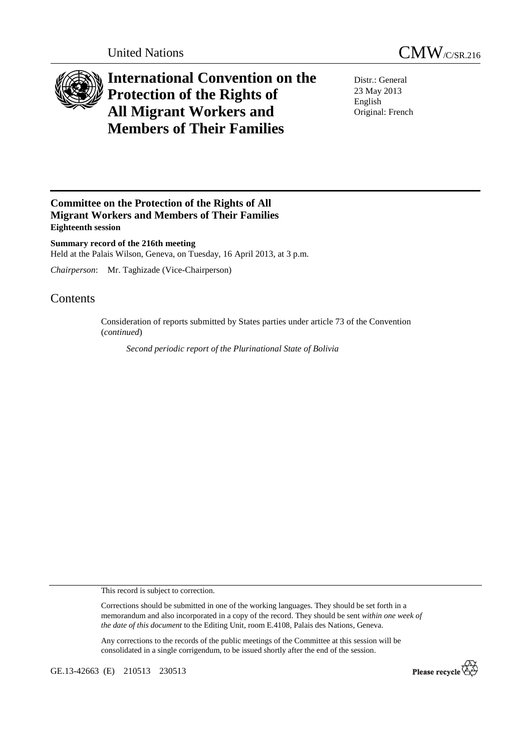



## **International Convention on the Protection of the Rights of All Migrant Workers and Members of Their Families**

Distr.: General 23 May 2013 English Original: French

## **Committee on the Protection of the Rights of All Migrant Workers and Members of Their Families Eighteenth session**

**Summary record of the 216th meeting**  Held at the Palais Wilson, Geneva, on Tuesday, 16 April 2013, at 3 p.m.

*Chairperson*: Mr. Taghizade (Vice-Chairperson)

## Contents

Consideration of reports submitted by States parties under article 73 of the Convention (*continued*)

*Second periodic report of the Plurinational State of Bolivia* 

This record is subject to correction.

Corrections should be submitted in one of the working languages. They should be set forth in a memorandum and also incorporated in a copy of the record. They should be sent *within one week of the date of this document* to the Editing Unit, room E.4108, Palais des Nations, Geneva.

Any corrections to the records of the public meetings of the Committee at this session will be consolidated in a single corrigendum, to be issued shortly after the end of the session.

GE.13-42663 (E) 210513 230513

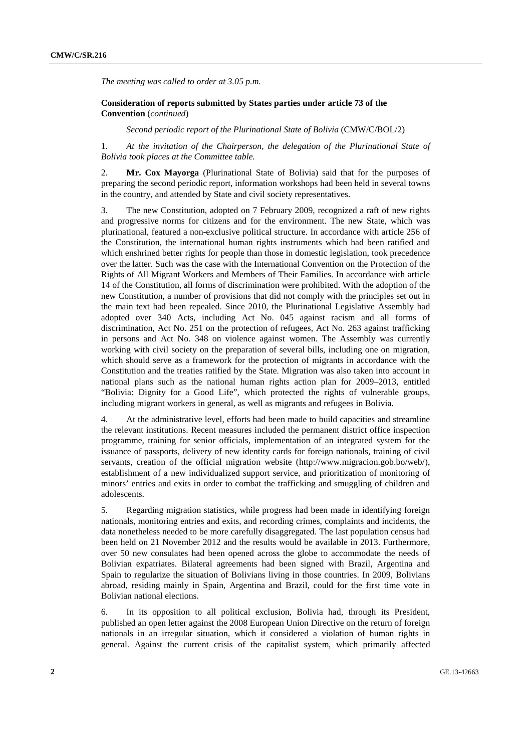*The meeting was called to order at 3.05 p.m.* 

## **Consideration of reports submitted by States parties under article 73 of the Convention** (*continued*)

*Second periodic report of the Plurinational State of Bolivia* (CMW/C/BOL/2)

1. *At the invitation of the Chairperson, the delegation of the Plurinational State of Bolivia took places at the Committee table.* 

2. **Mr. Cox Mayorga** (Plurinational State of Bolivia) said that for the purposes of preparing the second periodic report, information workshops had been held in several towns in the country, and attended by State and civil society representatives.

3. The new Constitution, adopted on 7 February 2009, recognized a raft of new rights and progressive norms for citizens and for the environment. The new State, which was plurinational, featured a non-exclusive political structure. In accordance with article 256 of the Constitution, the international human rights instruments which had been ratified and which enshrined better rights for people than those in domestic legislation, took precedence over the latter. Such was the case with the International Convention on the Protection of the Rights of All Migrant Workers and Members of Their Families. In accordance with article 14 of the Constitution, all forms of discrimination were prohibited. With the adoption of the new Constitution, a number of provisions that did not comply with the principles set out in the main text had been repealed. Since 2010, the Plurinational Legislative Assembly had adopted over 340 Acts, including Act No. 045 against racism and all forms of discrimination, Act No. 251 on the protection of refugees, Act No. 263 against trafficking in persons and Act No. 348 on violence against women. The Assembly was currently working with civil society on the preparation of several bills, including one on migration, which should serve as a framework for the protection of migrants in accordance with the Constitution and the treaties ratified by the State. Migration was also taken into account in national plans such as the national human rights action plan for 2009–2013, entitled "Bolivia: Dignity for a Good Life", which protected the rights of vulnerable groups, including migrant workers in general, as well as migrants and refugees in Bolivia.

4. At the administrative level, efforts had been made to build capacities and streamline the relevant institutions. Recent measures included the permanent district office inspection programme, training for senior officials, implementation of an integrated system for the issuance of passports, delivery of new identity cards for foreign nationals, training of civil servants, creation of the official migration website (http://www.migracion.gob.bo/web/), establishment of a new individualized support service, and prioritization of monitoring of minors' entries and exits in order to combat the trafficking and smuggling of children and adolescents.

5. Regarding migration statistics, while progress had been made in identifying foreign nationals, monitoring entries and exits, and recording crimes, complaints and incidents, the data nonetheless needed to be more carefully disaggregated. The last population census had been held on 21 November 2012 and the results would be available in 2013. Furthermore, over 50 new consulates had been opened across the globe to accommodate the needs of Bolivian expatriates. Bilateral agreements had been signed with Brazil, Argentina and Spain to regularize the situation of Bolivians living in those countries. In 2009, Bolivians abroad, residing mainly in Spain, Argentina and Brazil, could for the first time vote in Bolivian national elections.

6. In its opposition to all political exclusion, Bolivia had, through its President, published an open letter against the 2008 European Union Directive on the return of foreign nationals in an irregular situation, which it considered a violation of human rights in general. Against the current crisis of the capitalist system, which primarily affected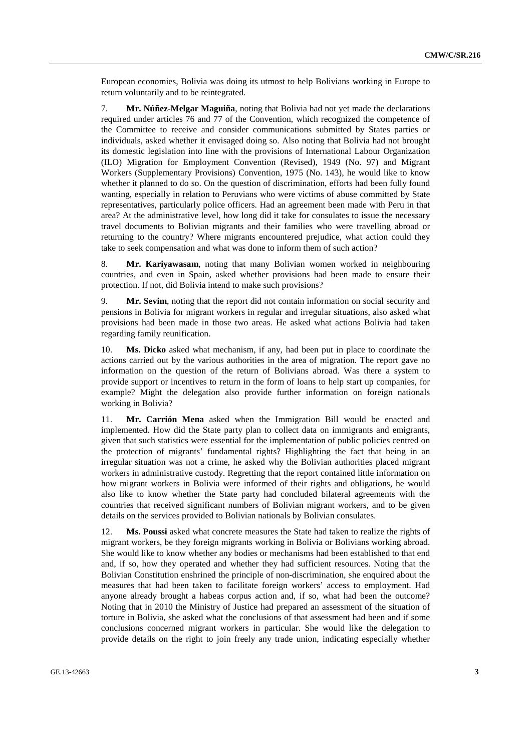European economies, Bolivia was doing its utmost to help Bolivians working in Europe to return voluntarily and to be reintegrated.

7. **Mr. Núñez-Melgar Maguiña**, noting that Bolivia had not yet made the declarations required under articles 76 and 77 of the Convention, which recognized the competence of the Committee to receive and consider communications submitted by States parties or individuals, asked whether it envisaged doing so. Also noting that Bolivia had not brought its domestic legislation into line with the provisions of International Labour Organization (ILO) Migration for Employment Convention (Revised), 1949 (No. 97) and Migrant Workers (Supplementary Provisions) Convention, 1975 (No. 143), he would like to know whether it planned to do so. On the question of discrimination, efforts had been fully found wanting, especially in relation to Peruvians who were victims of abuse committed by State representatives, particularly police officers. Had an agreement been made with Peru in that area? At the administrative level, how long did it take for consulates to issue the necessary travel documents to Bolivian migrants and their families who were travelling abroad or returning to the country? Where migrants encountered prejudice, what action could they take to seek compensation and what was done to inform them of such action?

8. **Mr. Kariyawasam**, noting that many Bolivian women worked in neighbouring countries, and even in Spain, asked whether provisions had been made to ensure their protection. If not, did Bolivia intend to make such provisions?

9. **Mr. Sevim**, noting that the report did not contain information on social security and pensions in Bolivia for migrant workers in regular and irregular situations, also asked what provisions had been made in those two areas. He asked what actions Bolivia had taken regarding family reunification.

10. **Ms. Dicko** asked what mechanism, if any, had been put in place to coordinate the actions carried out by the various authorities in the area of migration. The report gave no information on the question of the return of Bolivians abroad. Was there a system to provide support or incentives to return in the form of loans to help start up companies, for example? Might the delegation also provide further information on foreign nationals working in Bolivia?

11. **Mr. Carrión Mena** asked when the Immigration Bill would be enacted and implemented. How did the State party plan to collect data on immigrants and emigrants, given that such statistics were essential for the implementation of public policies centred on the protection of migrants' fundamental rights? Highlighting the fact that being in an irregular situation was not a crime, he asked why the Bolivian authorities placed migrant workers in administrative custody. Regretting that the report contained little information on how migrant workers in Bolivia were informed of their rights and obligations, he would also like to know whether the State party had concluded bilateral agreements with the countries that received significant numbers of Bolivian migrant workers, and to be given details on the services provided to Bolivian nationals by Bolivian consulates.

12. **Ms. Poussi** asked what concrete measures the State had taken to realize the rights of migrant workers, be they foreign migrants working in Bolivia or Bolivians working abroad. She would like to know whether any bodies or mechanisms had been established to that end and, if so, how they operated and whether they had sufficient resources. Noting that the Bolivian Constitution enshrined the principle of non-discrimination, she enquired about the measures that had been taken to facilitate foreign workers' access to employment. Had anyone already brought a habeas corpus action and, if so, what had been the outcome? Noting that in 2010 the Ministry of Justice had prepared an assessment of the situation of torture in Bolivia, she asked what the conclusions of that assessment had been and if some conclusions concerned migrant workers in particular. She would like the delegation to provide details on the right to join freely any trade union, indicating especially whether